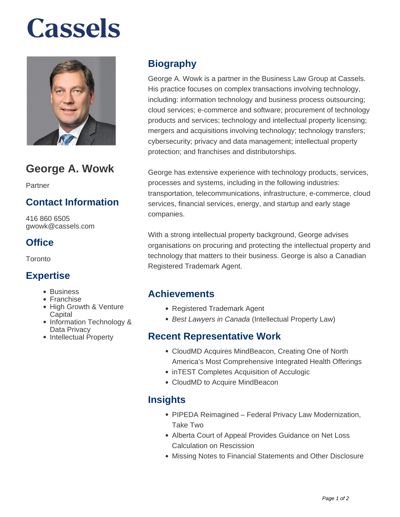# **Cassels**



# **George A. Wowk**

Partner

# **Contact Information**

416 860 6505 gwowk@cassels.com

# **Office**

Toronto

#### **Expertise**

- Business
- Franchise
- High Growth & Venture **Capital**
- Information Technology & Data Privacy
- Intellectual Property

# **Biography**

George A. Wowk is a partner in the Business Law Group at Cassels. His practice focuses on complex transactions involving technology, including: information technology and business process outsourcing; cloud services; e-commerce and software; procurement of technology products and services; technology and intellectual property licensing; mergers and acquisitions involving technology; technology transfers; cybersecurity; privacy and data management; intellectual property protection; and franchises and distributorships.

George has extensive experience with technology products, services, processes and systems, including in the following industries: transportation, telecommunications, infrastructure, e-commerce, cloud services, financial services, energy, and startup and early stage companies.

With a strong intellectual property background, George advises organisations on procuring and protecting the intellectual property and technology that matters to their business. George is also a Canadian Registered Trademark Agent.

#### **Achievements**

- Registered Trademark Agent
- Best Lawyers in Canada (Intellectual Property Law)

#### **Recent Representative Work**

- CloudMD Acquires MindBeacon, Creating One of North America's Most Comprehensive Integrated Health Offerings
- inTEST Completes Acquisition of Acculogic
- CloudMD to Acquire MindBeacon

# **Insights**

- PIPEDA Reimagined Federal Privacy Law Modernization, Take Two
- Alberta Court of Appeal Provides Guidance on Net Loss Calculation on Rescission
- Missing Notes to Financial Statements and Other Disclosure